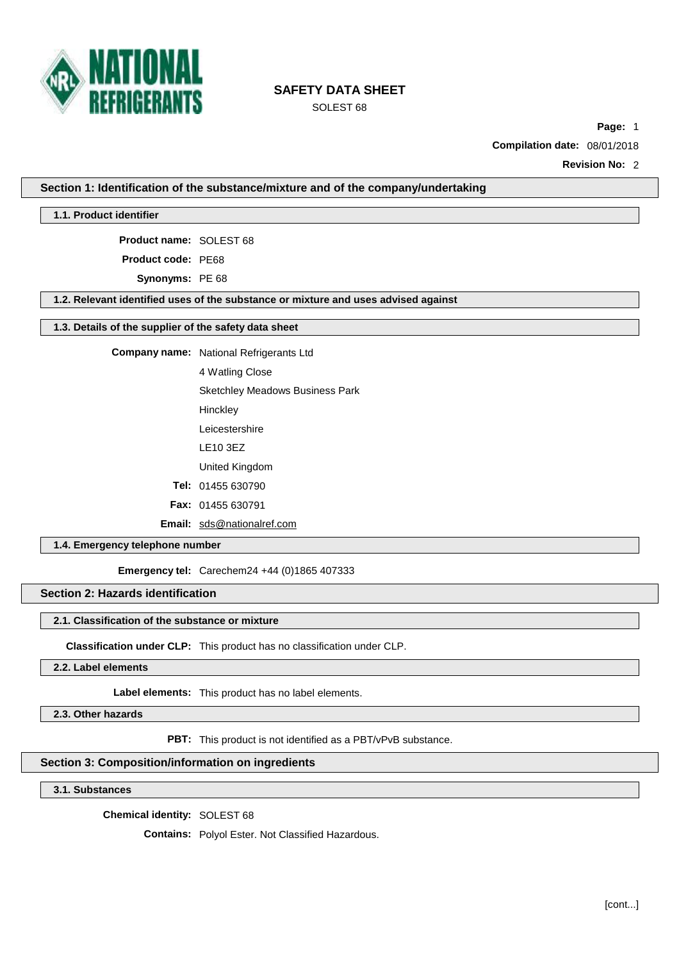

SOLEST 68

**Page:** 1

**Compilation date:** 08/01/2018

**Revision No:** 2

**Section 1: Identification of the substance/mixture and of the company/undertaking**

**1.1. Product identifier**

**Product name:** SOLEST 68

**Product code:** PE68

**Synonyms:** PE 68

**1.2. Relevant identified uses of the substance or mixture and uses advised against**

### **1.3. Details of the supplier of the safety data sheet**

**Company name:** National Refrigerants Ltd

4 Watling Close

Sketchley Meadows Business Park

**Hinckley** 

Leicestershire

LE10 3EZ

United Kingdom

**Tel:** 01455 630790

**Fax:** 01455 630791

**Email:** [sds@nationalref.com](mailto:sds@nationalref.com)

## **1.4. Emergency telephone number**

**Emergency tel:** Carechem24 +44 (0)1865 407333

**Section 2: Hazards identification**

## **2.1. Classification of the substance or mixture**

**Classification under CLP:** This product has no classification under CLP.

**2.2. Label elements**

**Label elements:** This product has no label elements.

**2.3. Other hazards**

**PBT:** This product is not identified as a PBT/vPvB substance.

### **Section 3: Composition/information on ingredients**

**3.1. Substances**

**Chemical identity:** SOLEST 68

**Contains:** Polyol Ester. Not Classified Hazardous.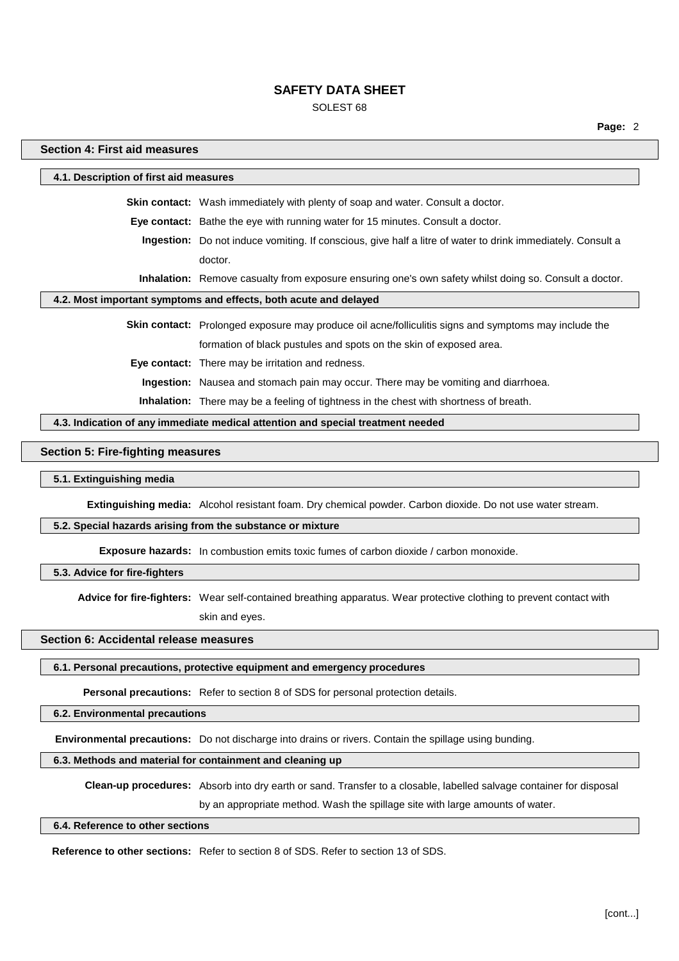### SOLEST 68

#### **Section 4: First aid measures**

**4.1. Description of first aid measures Skin contact:** Wash immediately with plenty of soap and water. Consult a doctor. **Eye contact:** Bathe the eye with running water for 15 minutes. Consult a doctor. **Ingestion:** Do not induce vomiting. If conscious, give half a litre of water to drink immediately. Consult a doctor. **Inhalation:** Remove casualty from exposure ensuring one's own safety whilst doing so. Consult a doctor. **4.2. Most important symptoms and effects, both acute and delayed Skin contact:** Prolonged exposure may produce oil acne/folliculitis signs and symptoms may include the formation of black pustules and spots on the skin of exposed area. **Eye contact:** There may be irritation and redness. **Ingestion:** Nausea and stomach pain may occur. There may be vomiting and diarrhoea. **Inhalation:** There may be a feeling of tightness in the chest with shortness of breath.

**4.3. Indication of any immediate medical attention and special treatment needed**

#### **Section 5: Fire-fighting measures**

#### **5.1. Extinguishing media**

**Extinguishing media:** Alcohol resistant foam. Dry chemical powder. Carbon dioxide. Do not use water stream.

#### **5.2. Special hazards arising from the substance or mixture**

**Exposure hazards:** In combustion emits toxic fumes of carbon dioxide / carbon monoxide.

#### **5.3. Advice for fire-fighters**

**Advice for fire-fighters:** Wear self-contained breathing apparatus. Wear protective clothing to prevent contact with skin and eyes.

### **Section 6: Accidental release measures**

### **6.1. Personal precautions, protective equipment and emergency procedures**

**Personal precautions:** Refer to section 8 of SDS for personal protection details.

#### **6.2. Environmental precautions**

**Environmental precautions:** Do not discharge into drains or rivers. Contain the spillage using bunding.

#### **6.3. Methods and material for containment and cleaning up**

**Clean-up procedures:** Absorb into dry earth or sand. Transfer to a closable, labelled salvage container for disposal

by an appropriate method. Wash the spillage site with large amounts of water.

#### **6.4. Reference to other sections**

**Reference to other sections:** Refer to section 8 of SDS. Refer to section 13 of SDS.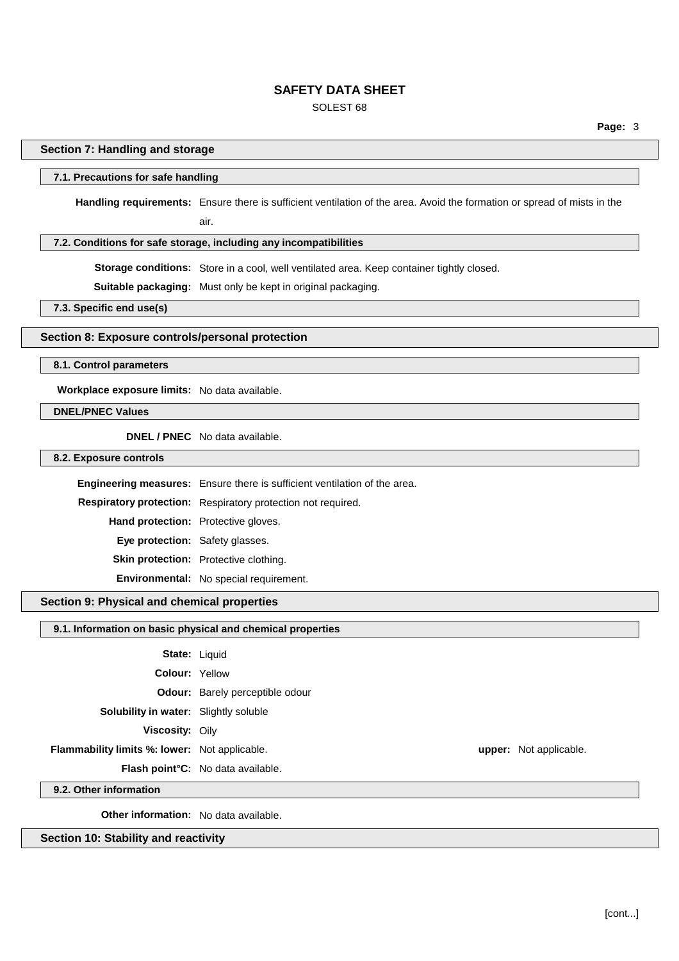## SOLEST 68

**Page:** 3

### **Section 7: Handling and storage**

#### **7.1. Precautions for safe handling**

**Handling requirements:** Ensure there is sufficient ventilation of the area. Avoid the formation or spread of mists in the air.

#### **7.2. Conditions for safe storage, including any incompatibilities**

**Storage conditions:** Store in a cool, well ventilated area. Keep container tightly closed.

**Suitable packaging:** Must only be kept in original packaging.

**7.3. Specific end use(s)**

#### **Section 8: Exposure controls/personal protection**

**8.1. Control parameters**

**Workplace exposure limits:** No data available.

### **DNEL/PNEC Values**

**DNEL / PNEC** No data available.

**8.2. Exposure controls**

**Engineering measures:** Ensure there is sufficient ventilation of the area. **Respiratory protection:** Respiratory protection not required. **Hand protection:** Protective gloves. **Eye protection:** Safety glasses. **Skin protection:** Protective clothing. **Environmental:** No special requirement.

## **Section 9: Physical and chemical properties**

### **9.1. Information on basic physical and chemical properties**

|                                               | <b>State: Liquid</b>                           |                               |
|-----------------------------------------------|------------------------------------------------|-------------------------------|
| <b>Colour: Yellow</b>                         |                                                |                               |
|                                               | <b>Odour:</b> Barely perceptible odour         |                               |
| <b>Solubility in water:</b> Slightly soluble  |                                                |                               |
| <b>Viscosity: Oily</b>                        |                                                |                               |
| Flammability limits %: lower: Not applicable. |                                                | <b>upper:</b> Not applicable. |
|                                               | Flash point <sup>°</sup> C: No data available. |                               |

**9.2. Other information**

**Other information:** No data available.

**Section 10: Stability and reactivity**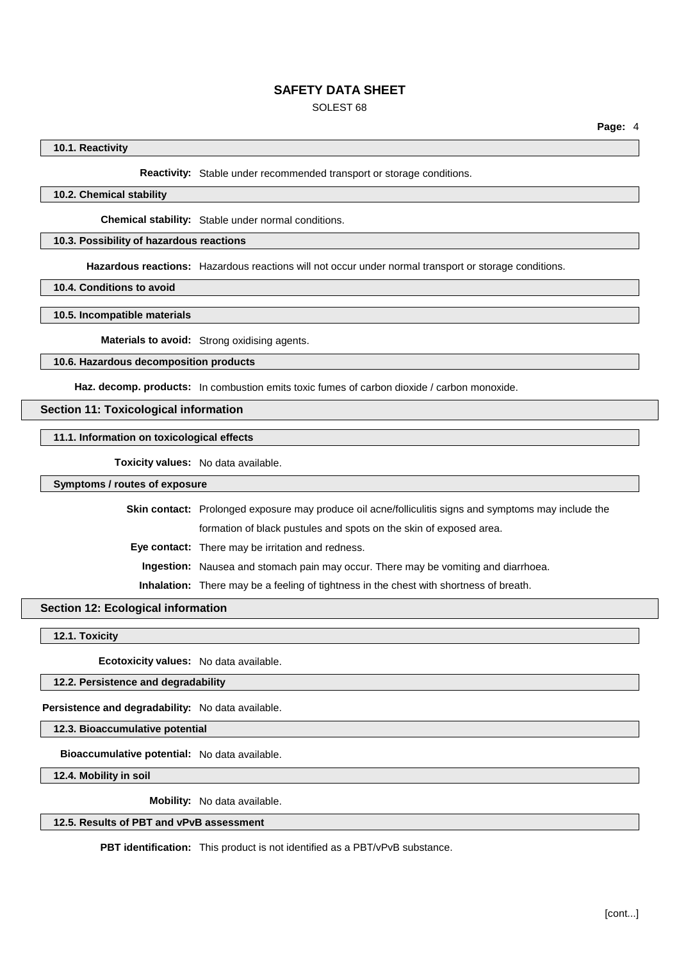## SOLEST 68

### **10.1. Reactivity**

**Reactivity:** Stable under recommended transport or storage conditions.

### **10.2. Chemical stability**

**Chemical stability:** Stable under normal conditions.

#### **10.3. Possibility of hazardous reactions**

**Hazardous reactions:** Hazardous reactions will not occur under normal transport or storage conditions.

**10.4. Conditions to avoid**

**10.5. Incompatible materials**

**Materials to avoid:** Strong oxidising agents.

#### **10.6. Hazardous decomposition products**

Haz. decomp. products: In combustion emits toxic fumes of carbon dioxide / carbon monoxide.

#### **Section 11: Toxicological information**

**11.1. Information on toxicological effects**

**Toxicity values:** No data available.

### **Symptoms / routes of exposure**

**Skin contact:** Prolonged exposure may produce oil acne/folliculitis signs and symptoms may include the formation of black pustules and spots on the skin of exposed area.

**Eye contact:** There may be irritation and redness.

**Ingestion:** Nausea and stomach pain may occur. There may be vomiting and diarrhoea.

**Inhalation:** There may be a feeling of tightness in the chest with shortness of breath.

## **Section 12: Ecological information**

**12.1. Toxicity**

**Ecotoxicity values:** No data available.

### **12.2. Persistence and degradability**

**Persistence and degradability:** No data available.

**12.3. Bioaccumulative potential**

**Bioaccumulative potential:** No data available.

**12.4. Mobility in soil**

**Mobility:** No data available.

## **12.5. Results of PBT and vPvB assessment**

**PBT identification:** This product is not identified as a PBT/vPvB substance.